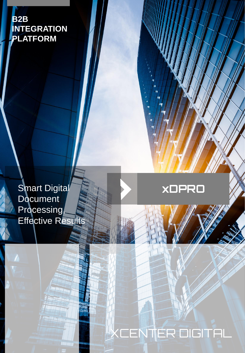**B2B INTEGRATION PLATFORM**

> **Smart Digital Document** Processing, Effective Results

## **xDPRO**

# ENTER DIGITAL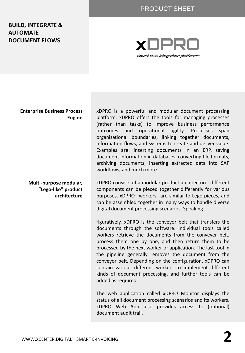#### PRODUCT SHEET

#### **BUILD, INTEGRATE & AUTOMATE DOCUMENT FLOWS**



#### **Enterprise Business Process Engine**

**Multi-purpose modular, "Lego-like" product architecture** 

xDPRO is a powerful and modular document processing platform. xDPRO offers the tools for managing processes (rather than tasks) to improve business performance outcomes and operational agility. Processes span organizational boundaries, linking together documents, information flows, and systems to create and deliver value. Examples are: inserting documents in an ERP, saving document information in databases, converting file formats, archiving documents, inserting extracted data into SAP workflows, and much more.

xDPRO consists of a modular product architecture: different components can be pieced together differently for various purposes. xDPRO "workers" are similar to Lego pieces, and can be assembled together in many ways to handle diverse digital document processing scenarios. Speaking

figuratively, xDPRO is the conveyor belt that transfers the documents through the software. Individual tools called workers retrieve the documents from the conveyer belt, process them one by one, and then return them to be processed by the next worker or application. The last tool in the pipeline generally removes the document from the conveyor belt. Depending on the configuration, xDPRO can contain various different workers to implement different kinds of document processing, and further tools can be added as required.

The web application called xDPRO Monitor displays the status of all document processing scenarios and its workers. xDPRO Web App also provides access to (optional) document audit trail.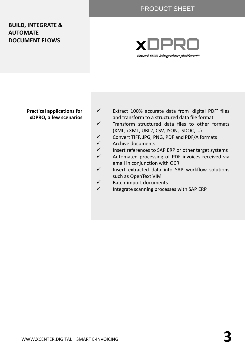#### PRODUCT SHEET

#### **BUILD, INTEGRATE & AUTOMATE DOCUMENT FLOWS**



#### **Practical applications for xDPRO, a few scenarios**

- ✓ Extract 100% accurate data from 'digital PDF' files and transform to a structured data file format
- ✓ Transform structured data files to other formats (XML, cXML, UBL2, CSV, JSON, ISDOC, …)
- ✓ Convert TIFF, JPG, PNG, PDF and PDF/A formats
- ✓ Archive documents
- ✓ Insert references to SAP ERP or other target systems ✓ Automated processing of PDF invoices received via
- email in conjunction with OCR ✓ Insert extracted data into SAP workflow solutions such as OpenText VIM
- ✓ Batch-import documents
- $\checkmark$  Integrate scanning processes with SAP ERP